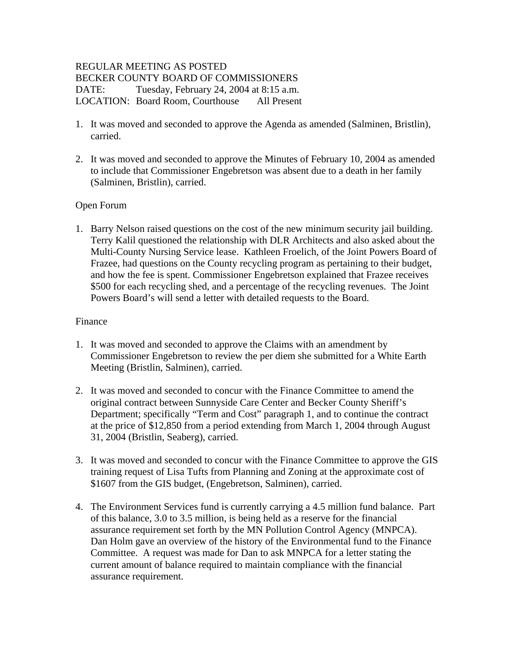## REGULAR MEETING AS POSTED BECKER COUNTY BOARD OF COMMISSIONERS DATE: Tuesday, February 24, 2004 at 8:15 a.m. LOCATION: Board Room, Courthouse All Present

- 1. It was moved and seconded to approve the Agenda as amended (Salminen, Bristlin), carried.
- 2. It was moved and seconded to approve the Minutes of February 10, 2004 as amended to include that Commissioner Engebretson was absent due to a death in her family (Salminen, Bristlin), carried.

# Open Forum

1. Barry Nelson raised questions on the cost of the new minimum security jail building. Terry Kalil questioned the relationship with DLR Architects and also asked about the Multi-County Nursing Service lease. Kathleen Froelich, of the Joint Powers Board of Frazee, had questions on the County recycling program as pertaining to their budget, and how the fee is spent. Commissioner Engebretson explained that Frazee receives \$500 for each recycling shed, and a percentage of the recycling revenues. The Joint Powers Board's will send a letter with detailed requests to the Board.

### Finance

- 1. It was moved and seconded to approve the Claims with an amendment by Commissioner Engebretson to review the per diem she submitted for a White Earth Meeting (Bristlin, Salminen), carried.
- 2. It was moved and seconded to concur with the Finance Committee to amend the original contract between Sunnyside Care Center and Becker County Sheriff's Department; specifically "Term and Cost" paragraph 1, and to continue the contract at the price of \$12,850 from a period extending from March 1, 2004 through August 31, 2004 (Bristlin, Seaberg), carried.
- 3. It was moved and seconded to concur with the Finance Committee to approve the GIS training request of Lisa Tufts from Planning and Zoning at the approximate cost of \$1607 from the GIS budget, (Engebretson, Salminen), carried.
- 4. The Environment Services fund is currently carrying a 4.5 million fund balance. Part of this balance, 3.0 to 3.5 million, is being held as a reserve for the financial assurance requirement set forth by the MN Pollution Control Agency (MNPCA). Dan Holm gave an overview of the history of the Environmental fund to the Finance Committee. A request was made for Dan to ask MNPCA for a letter stating the current amount of balance required to maintain compliance with the financial assurance requirement.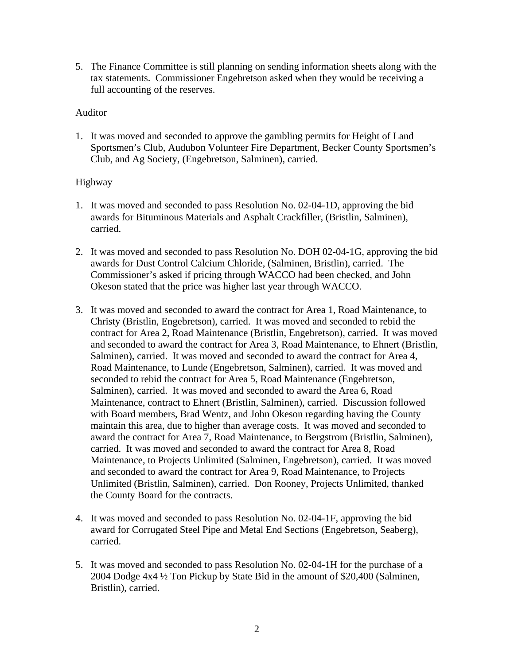5. The Finance Committee is still planning on sending information sheets along with the tax statements. Commissioner Engebretson asked when they would be receiving a full accounting of the reserves.

### Auditor

1. It was moved and seconded to approve the gambling permits for Height of Land Sportsmen's Club, Audubon Volunteer Fire Department, Becker County Sportsmen's Club, and Ag Society, (Engebretson, Salminen), carried.

### Highway

- 1. It was moved and seconded to pass Resolution No. 02-04-1D, approving the bid awards for Bituminous Materials and Asphalt Crackfiller, (Bristlin, Salminen), carried.
- 2. It was moved and seconded to pass Resolution No. DOH 02-04-1G, approving the bid awards for Dust Control Calcium Chloride, (Salminen, Bristlin), carried. The Commissioner's asked if pricing through WACCO had been checked, and John Okeson stated that the price was higher last year through WACCO.
- 3. It was moved and seconded to award the contract for Area 1, Road Maintenance, to Christy (Bristlin, Engebretson), carried. It was moved and seconded to rebid the contract for Area 2, Road Maintenance (Bristlin, Engebretson), carried. It was moved and seconded to award the contract for Area 3, Road Maintenance, to Ehnert (Bristlin, Salminen), carried. It was moved and seconded to award the contract for Area 4, Road Maintenance, to Lunde (Engebretson, Salminen), carried. It was moved and seconded to rebid the contract for Area 5, Road Maintenance (Engebretson, Salminen), carried. It was moved and seconded to award the Area 6, Road Maintenance, contract to Ehnert (Bristlin, Salminen), carried. Discussion followed with Board members, Brad Wentz, and John Okeson regarding having the County maintain this area, due to higher than average costs. It was moved and seconded to award the contract for Area 7, Road Maintenance, to Bergstrom (Bristlin, Salminen), carried. It was moved and seconded to award the contract for Area 8, Road Maintenance, to Projects Unlimited (Salminen, Engebretson), carried. It was moved and seconded to award the contract for Area 9, Road Maintenance, to Projects Unlimited (Bristlin, Salminen), carried. Don Rooney, Projects Unlimited, thanked the County Board for the contracts.
- 4. It was moved and seconded to pass Resolution No. 02-04-1F, approving the bid award for Corrugated Steel Pipe and Metal End Sections (Engebretson, Seaberg), carried.
- 5. It was moved and seconded to pass Resolution No. 02-04-1H for the purchase of a 2004 Dodge 4x4 ½ Ton Pickup by State Bid in the amount of \$20,400 (Salminen, Bristlin), carried.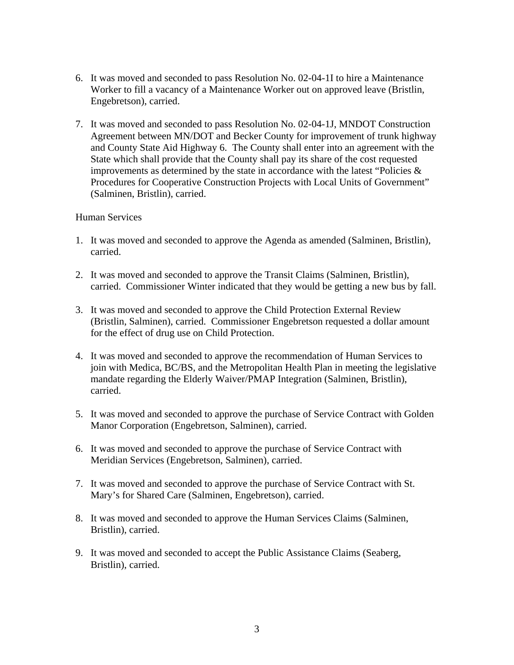- 6. It was moved and seconded to pass Resolution No. 02-04-1I to hire a Maintenance Worker to fill a vacancy of a Maintenance Worker out on approved leave (Bristlin, Engebretson), carried.
- 7. It was moved and seconded to pass Resolution No. 02-04-1J, MNDOT Construction Agreement between MN/DOT and Becker County for improvement of trunk highway and County State Aid Highway 6. The County shall enter into an agreement with the State which shall provide that the County shall pay its share of the cost requested improvements as determined by the state in accordance with the latest "Policies  $\&$ Procedures for Cooperative Construction Projects with Local Units of Government" (Salminen, Bristlin), carried.

### Human Services

- 1. It was moved and seconded to approve the Agenda as amended (Salminen, Bristlin), carried.
- 2. It was moved and seconded to approve the Transit Claims (Salminen, Bristlin), carried. Commissioner Winter indicated that they would be getting a new bus by fall.
- 3. It was moved and seconded to approve the Child Protection External Review (Bristlin, Salminen), carried. Commissioner Engebretson requested a dollar amount for the effect of drug use on Child Protection.
- 4. It was moved and seconded to approve the recommendation of Human Services to join with Medica, BC/BS, and the Metropolitan Health Plan in meeting the legislative mandate regarding the Elderly Waiver/PMAP Integration (Salminen, Bristlin), carried.
- 5. It was moved and seconded to approve the purchase of Service Contract with Golden Manor Corporation (Engebretson, Salminen), carried.
- 6. It was moved and seconded to approve the purchase of Service Contract with Meridian Services (Engebretson, Salminen), carried.
- 7. It was moved and seconded to approve the purchase of Service Contract with St. Mary's for Shared Care (Salminen, Engebretson), carried.
- 8. It was moved and seconded to approve the Human Services Claims (Salminen, Bristlin), carried.
- 9. It was moved and seconded to accept the Public Assistance Claims (Seaberg, Bristlin), carried.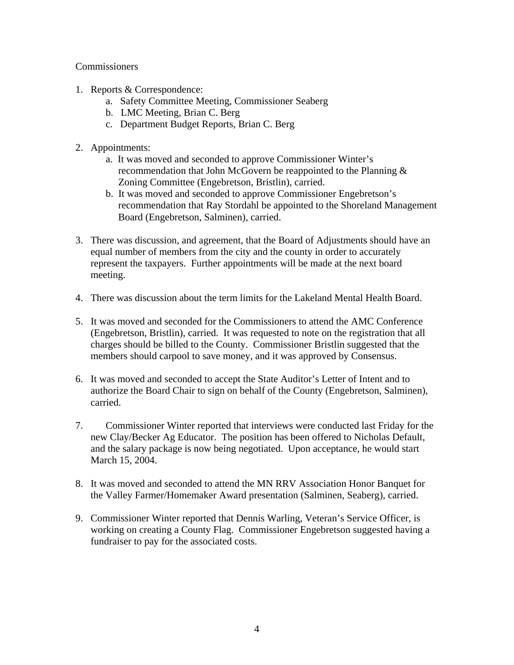### **Commissioners**

- 1. Reports & Correspondence:
	- a. Safety Committee Meeting, Commissioner Seaberg
	- b. LMC Meeting, Brian C. Berg
	- c. Department Budget Reports, Brian C. Berg
- 2. Appointments:
	- a. It was moved and seconded to approve Commissioner Winter's recommendation that John McGovern be reappointed to the Planning & Zoning Committee (Engebretson, Bristlin), carried.
	- b. It was moved and seconded to approve Commissioner Engebretson's recommendation that Ray Stordahl be appointed to the Shoreland Management Board (Engebretson, Salminen), carried.
- 3. There was discussion, and agreement, that the Board of Adjustments should have an equal number of members from the city and the county in order to accurately represent the taxpayers. Further appointments will be made at the next board meeting.
- 4. There was discussion about the term limits for the Lakeland Mental Health Board.
- 5. It was moved and seconded for the Commissioners to attend the AMC Conference (Engebretson, Bristlin), carried. It was requested to note on the registration that all charges should be billed to the County. Commissioner Bristlin suggested that the members should carpool to save money, and it was approved by Consensus.
- 6. It was moved and seconded to accept the State Auditor's Letter of Intent and to authorize the Board Chair to sign on behalf of the County (Engebretson, Salminen), carried.
- 7. Commissioner Winter reported that interviews were conducted last Friday for the new Clay/Becker Ag Educator. The position has been offered to Nicholas Default, and the salary package is now being negotiated. Upon acceptance, he would start March 15, 2004.
- 8. It was moved and seconded to attend the MN RRV Association Honor Banquet for the Valley Farmer/Homemaker Award presentation (Salminen, Seaberg), carried.
- 9. Commissioner Winter reported that Dennis Warling, Veteran's Service Officer, is working on creating a County Flag. Commissioner Engebretson suggested having a fundraiser to pay for the associated costs.